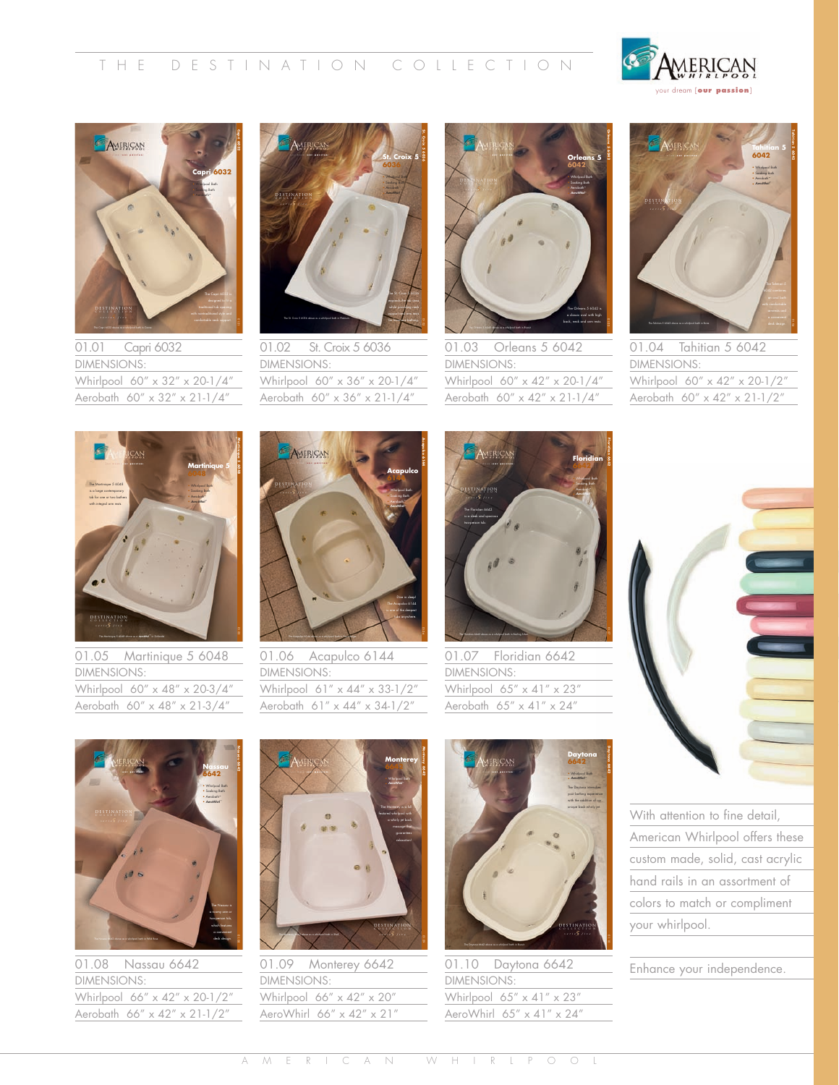



01.01 Capri 6032 DIMENSIONS: Whirlpool 60" x 32" x 20-1/4" Aerobath 60" x 32" x 21-1/4"



01.02 St. Croix 5 6036 DIMENSIONS: Whirlpool 60" x 36" x 20-1/4" Aerobath 60" x 36" x 21-1/4"



01.03 Orleans 5 6042 DIMENSIONS: Whirlpool 60" x 42" x 20-1/4" Aerobath 60" x 42" x 21-1/4"



01.04 Tahitian 5 6042 DIMENSIONS: Whirlpool 60" x 42" x 20-1/2" Aerobath 60" x 42" x 21-1/2"



01.05 Martinique 5 6048 DIMENSIONS: Whirlpool 60" x 48" x 20-3/4" Aerobath 60" x 48" x 21-3/4"



01.06 Acapulco 6144 DIMENSIONS: Whirlpool 61" x 44" x 33-1/2" Aerobath 61" x 44" x 34-1/2"



01.07 Floridian 6642 DIMENSIONS: Whirlpool  $65'' \times 41'' \times 23''$ Aerobath 65" x 41" x 24"





01.08 Nassau 6642 DIMENSIONS: Whirlpool 66" x 42" x 20-1/2" Aerobath 66" x 42" x 21-1/2"



01.09 Monterey 6642 DIMENSIONS: Whirlpool 66" x 42" x 20" AeroWhirl 66" x 42" x 21"



01.10 Daytona 6642 DIMENSIONS: Whirlpool  $65'' \times 41'' \times 23''$ AeroWhirl 65" x 41" x 24"

With attention to fine detail, American Whirlpool offers these custom made, solid, cast acrylic hand rails in an assortment of colors to match or compliment your whirlpool.

Enhance your independence.